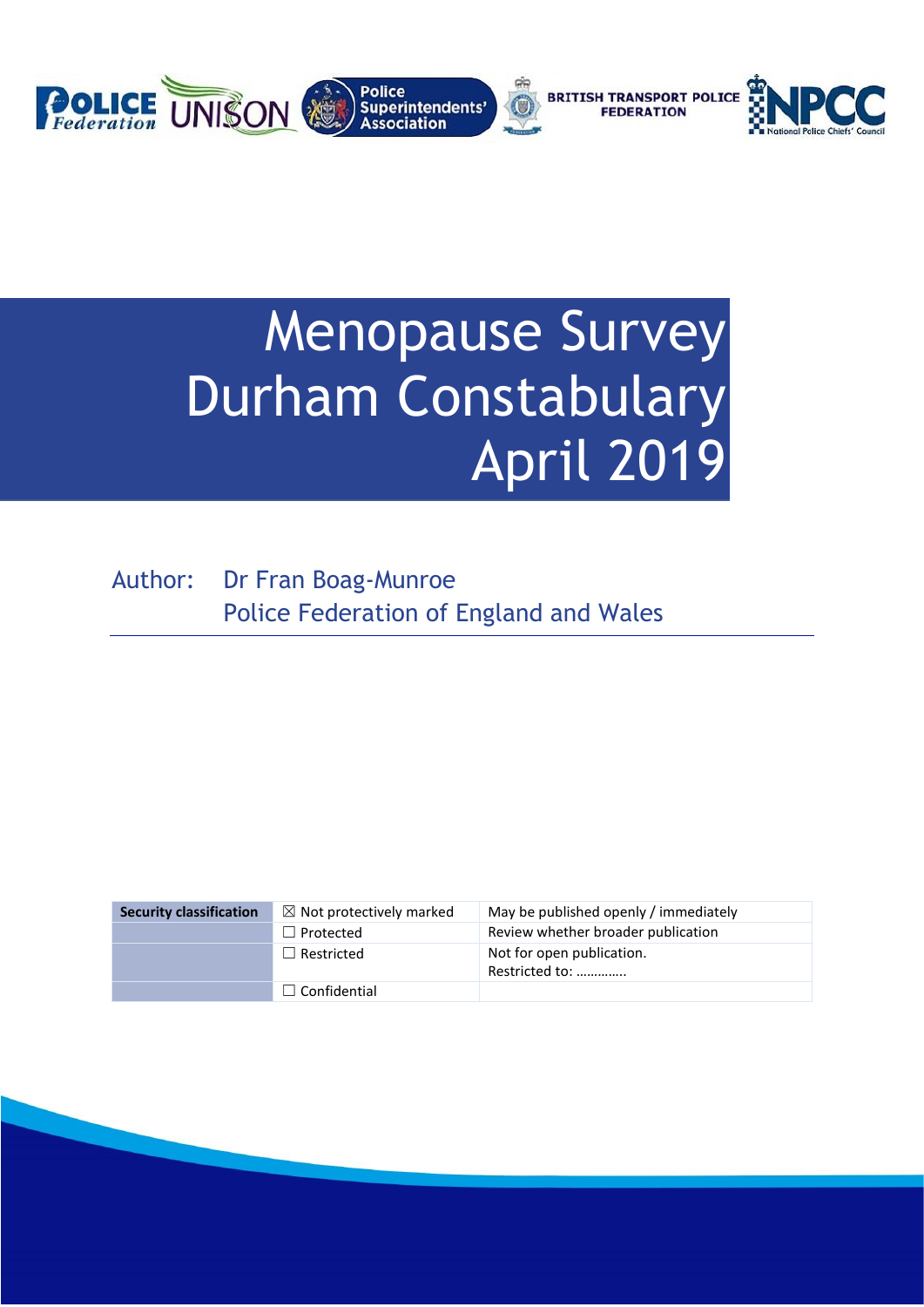

# Menopause Survey Durham Constabulary April 2019

Author: Dr Fran Boag-Munroe Police Federation of England and Wales

| <b>Security classification</b> | $\boxtimes$ Not protectively marked | May be published openly / immediately       |
|--------------------------------|-------------------------------------|---------------------------------------------|
|                                | $\Box$ Protected                    | Review whether broader publication          |
|                                | $\Box$ Restricted                   | Not for open publication.<br>Restricted to: |
|                                | $\Box$ Confidential                 |                                             |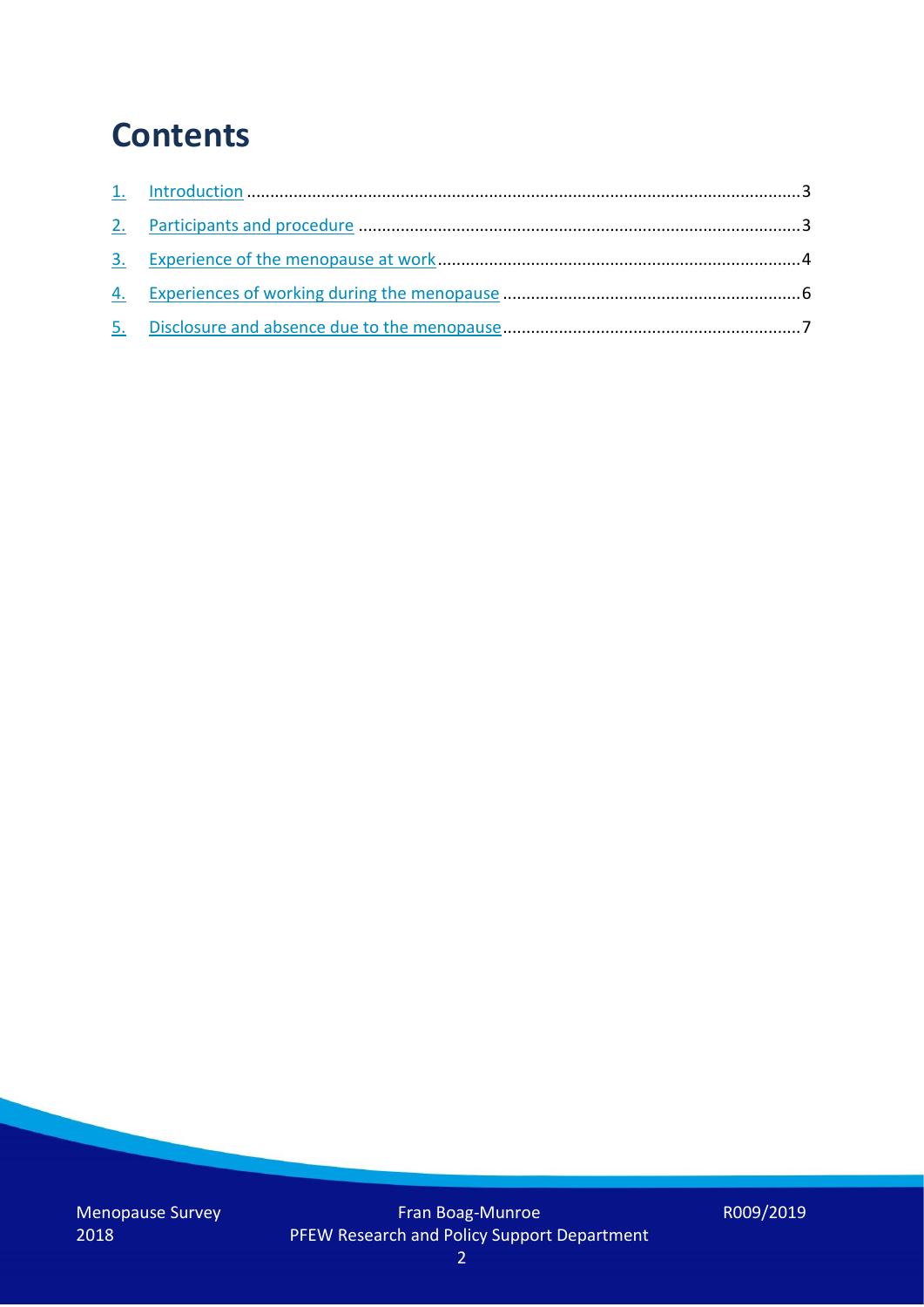### **Contents**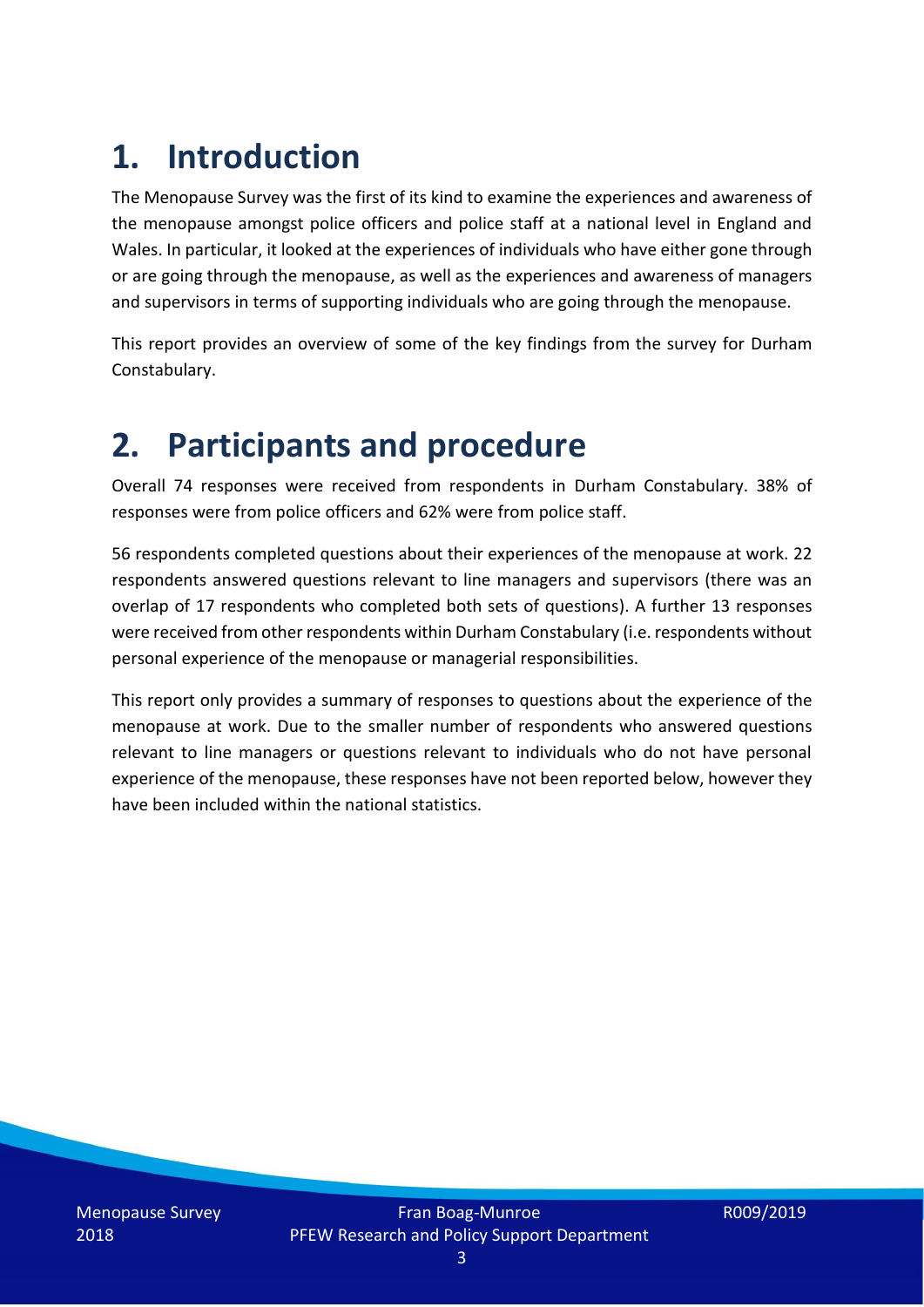# **1. Introduction**

The Menopause Survey was the first of its kind to examine the experiences and awareness of the menopause amongst police officers and police staff at a national level in England and Wales. In particular, it looked at the experiences of individuals who have either gone through or are going through the menopause, as well as the experiences and awareness of managers and supervisors in terms of supporting individuals who are going through the menopause.

This report provides an overview of some of the key findings from the survey for Durham Constabulary.

### **2. Participants and procedure**

Overall 74 responses were received from respondents in Durham Constabulary. 38% of responses were from police officers and 62% were from police staff.

56 respondents completed questions about their experiences of the menopause at work. 22 respondents answered questions relevant to line managers and supervisors (there was an overlap of 17 respondents who completed both sets of questions). A further 13 responses were received from other respondents within Durham Constabulary (i.e. respondents without personal experience of the menopause or managerial responsibilities.

This report only provides a summary of responses to questions about the experience of the menopause at work. Due to the smaller number of respondents who answered questions relevant to line managers or questions relevant to individuals who do not have personal experience of the menopause, these responses have not been reported below, however they have been included within the national statistics.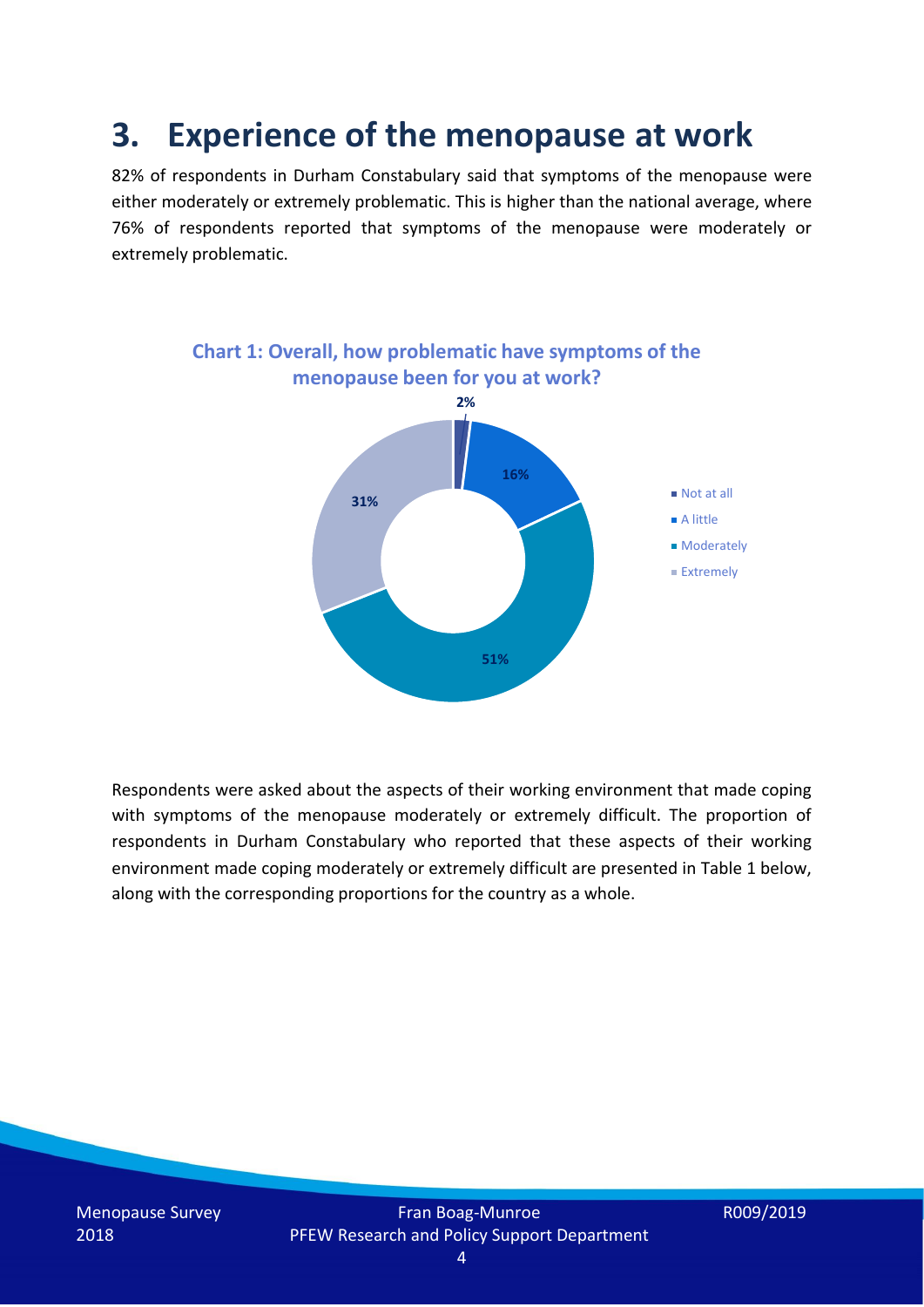### **3. Experience of the menopause at work**

82% of respondents in Durham Constabulary said that symptoms of the menopause were either moderately or extremely problematic. This is higher than the national average, where 76% of respondents reported that symptoms of the menopause were moderately or extremely problematic.



Respondents were asked about the aspects of their working environment that made coping with symptoms of the menopause moderately or extremely difficult. The proportion of respondents in Durham Constabulary who reported that these aspects of their working environment made coping moderately or extremely difficult are presented in Table 1 below, along with the corresponding proportions for the country as a whole.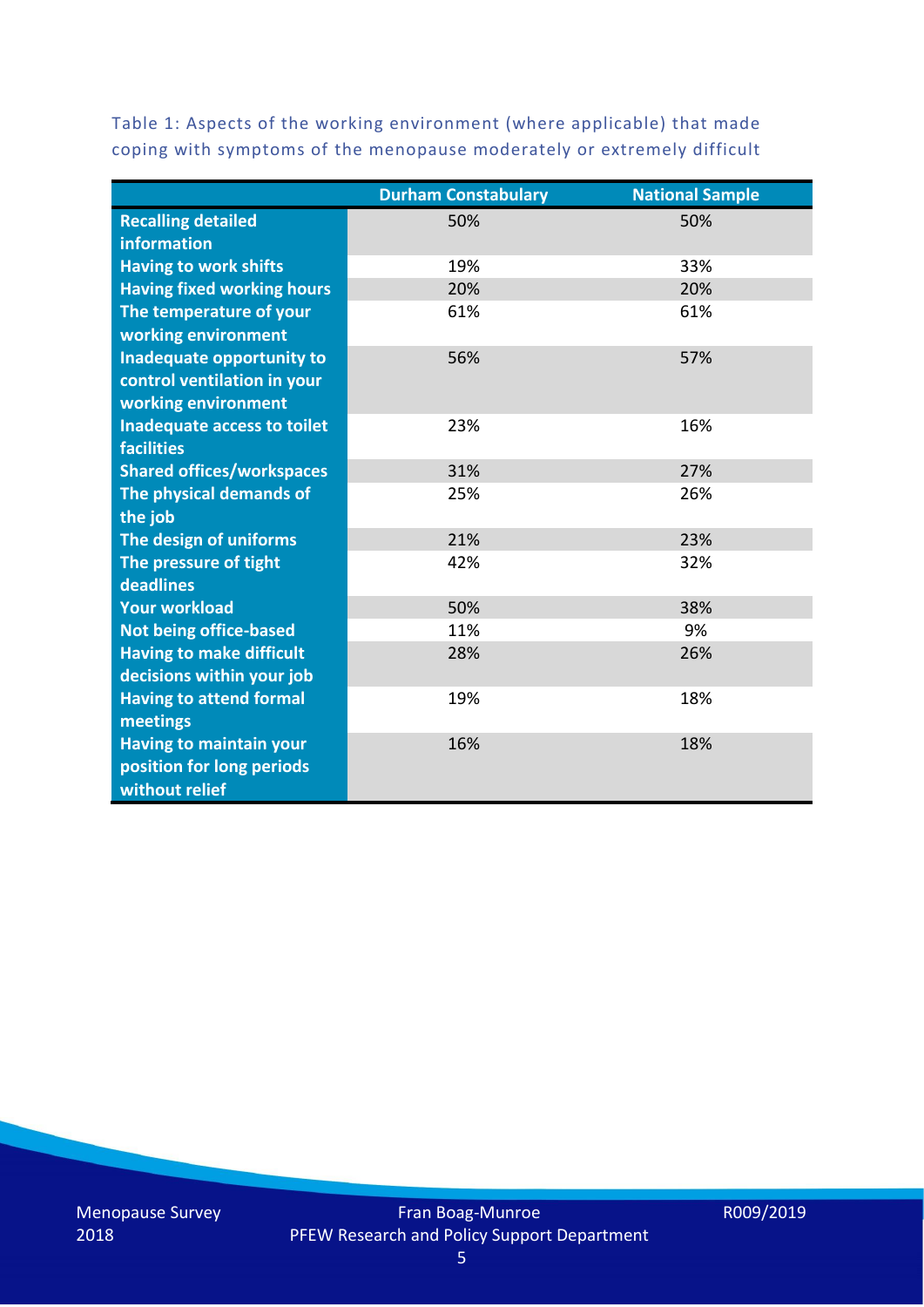Table 1: Aspects of the working environment (where applicable) that made coping with symptoms of the menopause moderately or extremely difficult

|                                   | <b>Durham Constabulary</b> | <b>National Sample</b> |
|-----------------------------------|----------------------------|------------------------|
| <b>Recalling detailed</b>         | 50%                        | 50%                    |
| information                       |                            |                        |
| <b>Having to work shifts</b>      | 19%                        | 33%                    |
| <b>Having fixed working hours</b> | 20%                        | 20%                    |
| The temperature of your           | 61%                        | 61%                    |
| working environment               |                            |                        |
| Inadequate opportunity to         | 56%                        | 57%                    |
| control ventilation in your       |                            |                        |
| working environment               |                            |                        |
| Inadequate access to toilet       | 23%                        | 16%                    |
| <b>facilities</b>                 |                            |                        |
| <b>Shared offices/workspaces</b>  | 31%                        | 27%                    |
| The physical demands of           | 25%                        | 26%                    |
| the job                           |                            |                        |
| The design of uniforms            | 21%                        | 23%                    |
| The pressure of tight             | 42%                        | 32%                    |
| deadlines                         |                            |                        |
| <b>Your workload</b>              | 50%                        | 38%                    |
| <b>Not being office-based</b>     | 11%                        | 9%                     |
| <b>Having to make difficult</b>   | 28%                        | 26%                    |
| decisions within your job         |                            |                        |
| <b>Having to attend formal</b>    | 19%                        | 18%                    |
| meetings                          |                            |                        |
| <b>Having to maintain your</b>    | 16%                        | 18%                    |
| position for long periods         |                            |                        |
| without relief                    |                            |                        |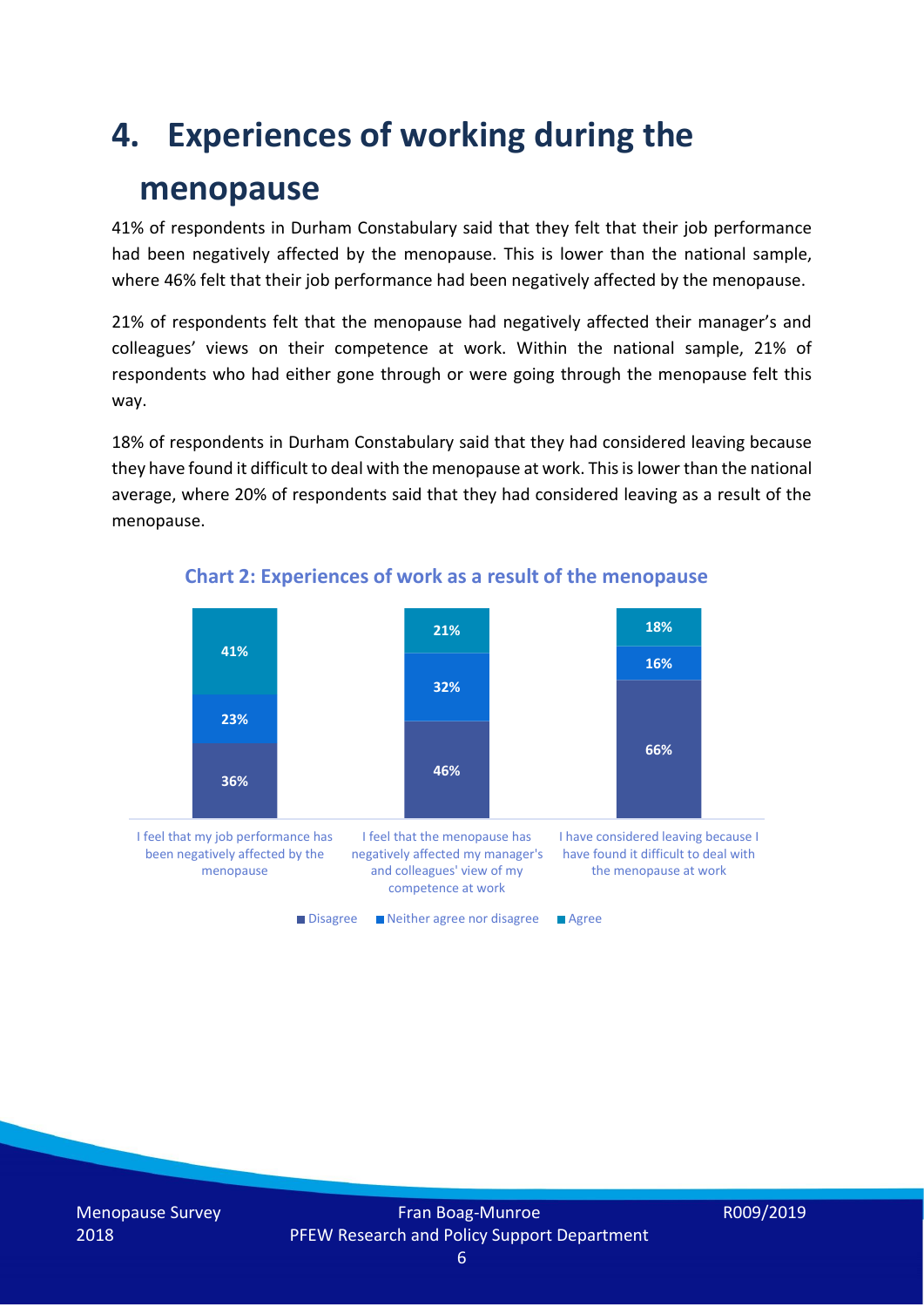### **4. Experiences of working during the**

### **menopause**

41% of respondents in Durham Constabulary said that they felt that their job performance had been negatively affected by the menopause. This is lower than the national sample, where 46% felt that their job performance had been negatively affected by the menopause.

21% of respondents felt that the menopause had negatively affected their manager's and colleagues' views on their competence at work. Within the national sample, 21% of respondents who had either gone through or were going through the menopause felt this way.

18% of respondents in Durham Constabulary said that they had considered leaving because they have found it difficult to deal with the menopause at work. This is lower than the national average, where 20% of respondents said that they had considered leaving as a result of the menopause.



#### **Chart 2: Experiences of work as a result of the menopause**